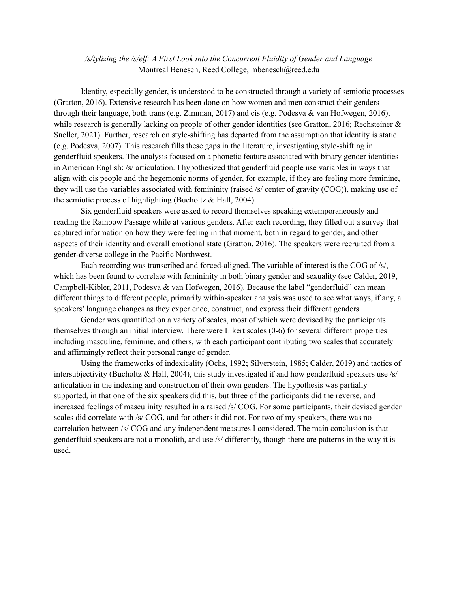*/s/tylizing the /s/elf: A First Look into the Concurrent Fluidity of Gender and Language* Montreal Benesch, Reed College, mbenesch@reed.edu

Identity, especially gender, is understood to be constructed through a variety of semiotic processes (Gratton, 2016). Extensive research has been done on how women and men construct their genders through their language, both trans (e.g. Zimman, 2017) and cis (e.g. Podesva & van Hofwegen, 2016), while research is generally lacking on people of other gender identities (see Gratton, 2016; Rechsteiner & Sneller, 2021). Further, research on style-shifting has departed from the assumption that identity is static (e.g. Podesva, 2007). This research fills these gaps in the literature, investigating style-shifting in genderfluid speakers. The analysis focused on a phonetic feature associated with binary gender identities in American English: /s/ articulation. I hypothesized that genderfluid people use variables in ways that align with cis people and the hegemonic norms of gender, for example, if they are feeling more feminine, they will use the variables associated with femininity (raised /s/ center of gravity (COG)), making use of the semiotic process of highlighting (Bucholtz & Hall, 2004).

Six genderfluid speakers were asked to record themselves speaking extemporaneously and reading the Rainbow Passage while at various genders. After each recording, they filled out a survey that captured information on how they were feeling in that moment, both in regard to gender, and other aspects of their identity and overall emotional state (Gratton, 2016). The speakers were recruited from a gender-diverse college in the Pacific Northwest.

Each recording was transcribed and forced-aligned. The variable of interest is the COG of /s/, which has been found to correlate with femininity in both binary gender and sexuality (see Calder, 2019, Campbell-Kibler, 2011, Podesva & van Hofwegen, 2016). Because the label "genderfluid" can mean different things to different people, primarily within-speaker analysis was used to see what ways, if any, a speakers' language changes as they experience, construct, and express their different genders.

Gender was quantified on a variety of scales, most of which were devised by the participants themselves through an initial interview. There were Likert scales (0-6) for several different properties including masculine, feminine, and others, with each participant contributing two scales that accurately and affirmingly reflect their personal range of gender.

Using the frameworks of indexicality (Ochs, 1992; Silverstein, 1985; Calder, 2019) and tactics of intersubjectivity (Bucholtz & Hall, 2004), this study investigated if and how genderfluid speakers use /s/ articulation in the indexing and construction of their own genders. The hypothesis was partially supported, in that one of the six speakers did this, but three of the participants did the reverse, and increased feelings of masculinity resulted in a raised /s/ COG. For some participants, their devised gender scales did correlate with /s/ COG, and for others it did not. For two of my speakers, there was no correlation between /s/ COG and any independent measures I considered. The main conclusion is that genderfluid speakers are not a monolith, and use /s/ differently, though there are patterns in the way it is used.